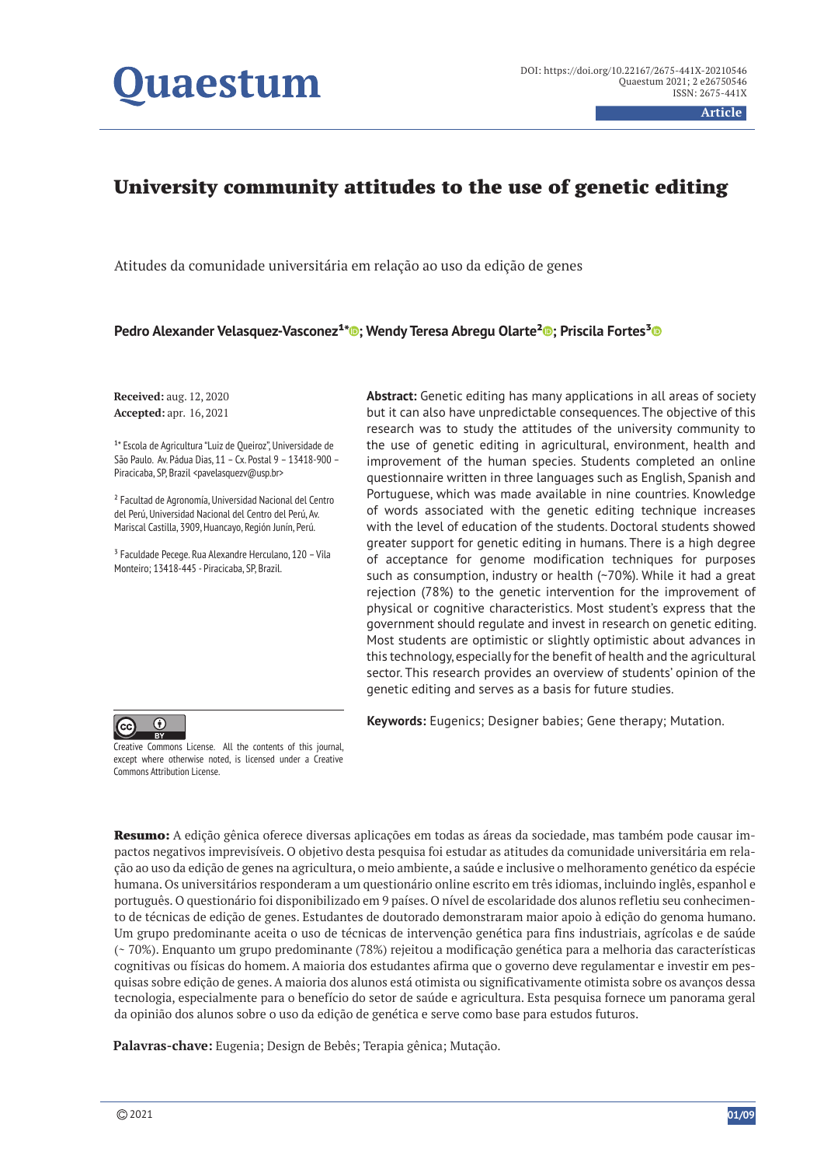# **uaestum**

**Article**

## University community attitudes to the use of genetic editing

Atitudes da comunidade universitária em relação ao uso da edição de genes

**Pedro Alexander Velasquez-Vasconez<sup>1</sup>\*®; Wendy Teresa Abregu Olarte<sup>2</sup>®; Priscila Fortes<sup>3</sup>®** 

**Received:** aug. 12, 2020 **Accepted:** apr. 16, 2021

<sup>1\*</sup> Escola de Agricultura "Luiz de Queiroz", Universidade de São Paulo. Av. Pádua Dias, 11 – Cx. Postal 9 – 13418-900 – Piracicaba, SP, Brazil <pavelasquezv@usp.br>

² Facultad de Agronomía, Universidad Nacional del Centro del Perú, Universidad Nacional del Centro del Perú, Av. Mariscal Castilla, 3909, Huancayo, Región Junín, Perú.

³ Faculdade Pecege. Rua Alexandre Herculano, 120 – Vila Monteiro; 13418-445 - Piracicaba, SP, Brazil.

**Abstract:** Genetic editing has many applications in all areas of society but it can also have unpredictable consequences. The objective of this research was to study the attitudes of the university community to the use of genetic editing in agricultural, environment, health and improvement of the human species. Students completed an online questionnaire written in three languages such as English, Spanish and Portuguese, which was made available in nine countries. Knowledge of words associated with the genetic editing technique increases with the level of education of the students. Doctoral students showed greater support for genetic editing in humans. There is a high degree of acceptance for genome modification techniques for purposes such as consumption, industry or health (~70%). While it had a great rejection (78%) to the genetic intervention for the improvement of physical or cognitive characteristics. Most student's express that the government should regulate and invest in research on genetic editing. Most students are optimistic or slightly optimistic about advances in this technology, especially for the benefit of health and the agricultural sector. This research provides an overview of students' opinion of the genetic editing and serves as a basis for future studies.

**Keywords:** Eugenics; Designer babies; Gene therapy; Mutation.



Creative Commons License. All the contents of this journal, except where otherwise noted, is licensed under a Creative Commons Attribution License.

Resumo: A edição gênica oferece diversas aplicações em todas as áreas da sociedade, mas também pode causar impactos negativos imprevisíveis. O objetivo desta pesquisa foi estudar as atitudes da comunidade universitária em relação ao uso da edição de genes na agricultura, o meio ambiente, a saúde e inclusive o melhoramento genético da espécie humana. Os universitários responderam a um questionário online escrito em três idiomas, incluindo inglês, espanhol e português. O questionário foi disponibilizado em 9 países. O nível de escolaridade dos alunos refletiu seu conhecimento de técnicas de edição de genes. Estudantes de doutorado demonstraram maior apoio à edição do genoma humano. Um grupo predominante aceita o uso de técnicas de intervenção genética para fins industriais, agrícolas e de saúde (~ 70%). Enquanto um grupo predominante (78%) rejeitou a modificação genética para a melhoria das características cognitivas ou físicas do homem. A maioria dos estudantes afirma que o governo deve regulamentar e investir em pesquisas sobre edição de genes. A maioria dos alunos está otimista ou significativamente otimista sobre os avanços dessa tecnologia, especialmente para o benefício do setor de saúde e agricultura. Esta pesquisa fornece um panorama geral da opinião dos alunos sobre o uso da edição de genética e serve como base para estudos futuros.

**Palavras-chave:** Eugenia; Design de Bebês; Terapia gênica; Mutação.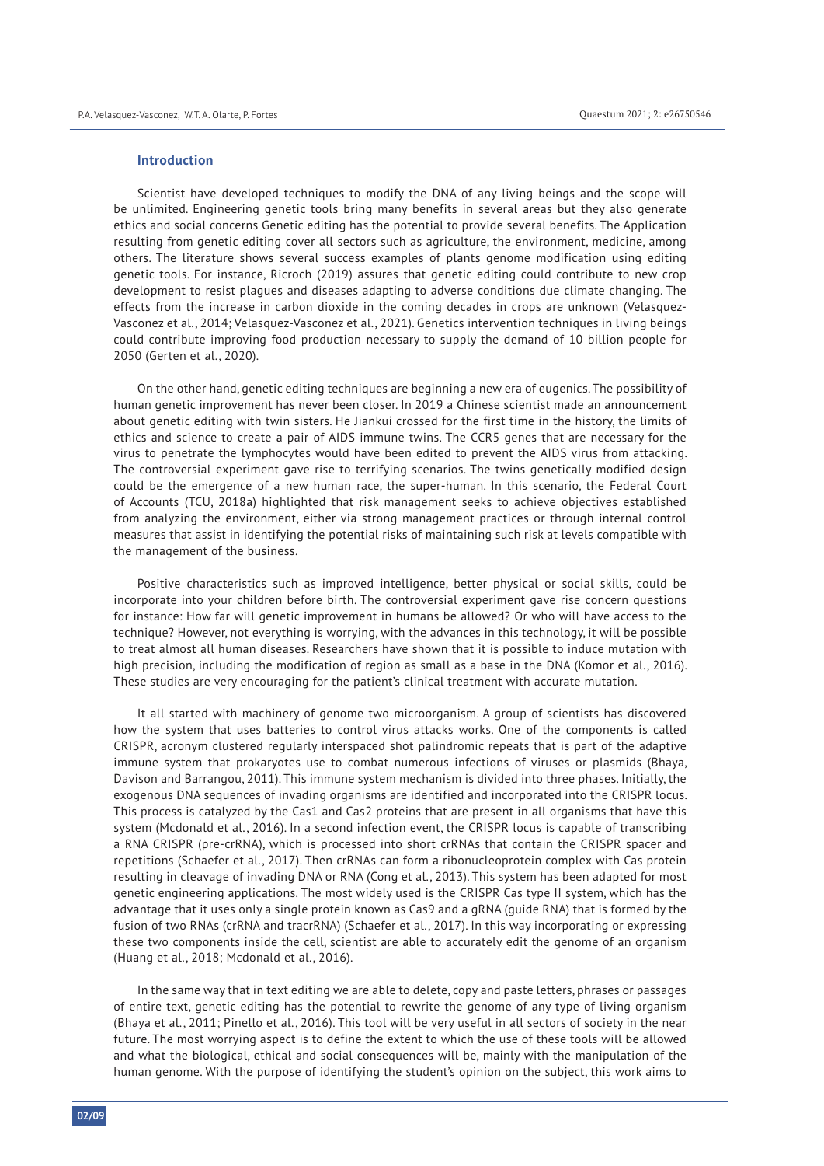#### **Introduction**

Scientist have developed techniques to modify the DNA of any living beings and the scope will be unlimited. Engineering genetic tools bring many benefits in several areas but they also generate ethics and social concerns Genetic editing has the potential to provide several benefits. The Application resulting from genetic editing cover all sectors such as agriculture, the environment, medicine, among others. The literature shows several success examples of plants genome modification using editing genetic tools. For instance, Ricroch (2019) assures that genetic editing could contribute to new crop development to resist plagues and diseases adapting to adverse conditions due climate changing. The effects from the increase in carbon dioxide in the coming decades in crops are unknown (Velasquez-Vasconez et al., 2014; Velasquez-Vasconez et al., 2021). Genetics intervention techniques in living beings could contribute improving food production necessary to supply the demand of 10 billion people for 2050 (Gerten et al., 2020).

On the other hand, genetic editing techniques are beginning a new era of eugenics. The possibility of human genetic improvement has never been closer. In 2019 a Chinese scientist made an announcement about genetic editing with twin sisters. He Jiankui crossed for the first time in the history, the limits of ethics and science to create a pair of AIDS immune twins. The CCR5 genes that are necessary for the virus to penetrate the lymphocytes would have been edited to prevent the AIDS virus from attacking. The controversial experiment gave rise to terrifying scenarios. The twins genetically modified design could be the emergence of a new human race, the super-human. In this scenario, the Federal Court of Accounts (TCU, 2018a) highlighted that risk management seeks to achieve objectives established from analyzing the environment, either via strong management practices or through internal control measures that assist in identifying the potential risks of maintaining such risk at levels compatible with the management of the business.

Positive characteristics such as improved intelligence, better physical or social skills, could be incorporate into your children before birth. The controversial experiment gave rise concern questions for instance: How far will genetic improvement in humans be allowed? Or who will have access to the technique? However, not everything is worrying, with the advances in this technology, it will be possible to treat almost all human diseases. Researchers have shown that it is possible to induce mutation with high precision, including the modification of region as small as a base in the DNA (Komor et al., 2016). These studies are very encouraging for the patient's clinical treatment with accurate mutation.

It all started with machinery of genome two microorganism. A group of scientists has discovered how the system that uses batteries to control virus attacks works. One of the components is called CRISPR, acronym clustered regularly interspaced shot palindromic repeats that is part of the adaptive immune system that prokaryotes use to combat numerous infections of viruses or plasmids (Bhaya, Davison and Barrangou, 2011). This immune system mechanism is divided into three phases. Initially, the exogenous DNA sequences of invading organisms are identified and incorporated into the CRISPR locus. This process is catalyzed by the Cas1 and Cas2 proteins that are present in all organisms that have this system (Mcdonald et al., 2016). In a second infection event, the CRISPR locus is capable of transcribing a RNA CRISPR (pre-crRNA), which is processed into short crRNAs that contain the CRISPR spacer and repetitions (Schaefer et al., 2017). Then crRNAs can form a ribonucleoprotein complex with Cas protein resulting in cleavage of invading DNA or RNA (Cong et al., 2013). This system has been adapted for most genetic engineering applications. The most widely used is the CRISPR Cas type II system, which has the advantage that it uses only a single protein known as Cas9 and a gRNA (guide RNA) that is formed by the fusion of two RNAs (crRNA and tracrRNA) (Schaefer et al., 2017). In this way incorporating or expressing these two components inside the cell, scientist are able to accurately edit the genome of an organism (Huang et al., 2018; Mcdonald et al., 2016).

In the same way that in text editing we are able to delete, copy and paste letters, phrases or passages of entire text, genetic editing has the potential to rewrite the genome of any type of living organism (Bhaya et al., 2011; Pinello et al., 2016). This tool will be very useful in all sectors of society in the near future. The most worrying aspect is to define the extent to which the use of these tools will be allowed and what the biological, ethical and social consequences will be, mainly with the manipulation of the human genome. With the purpose of identifying the student's opinion on the subject, this work aims to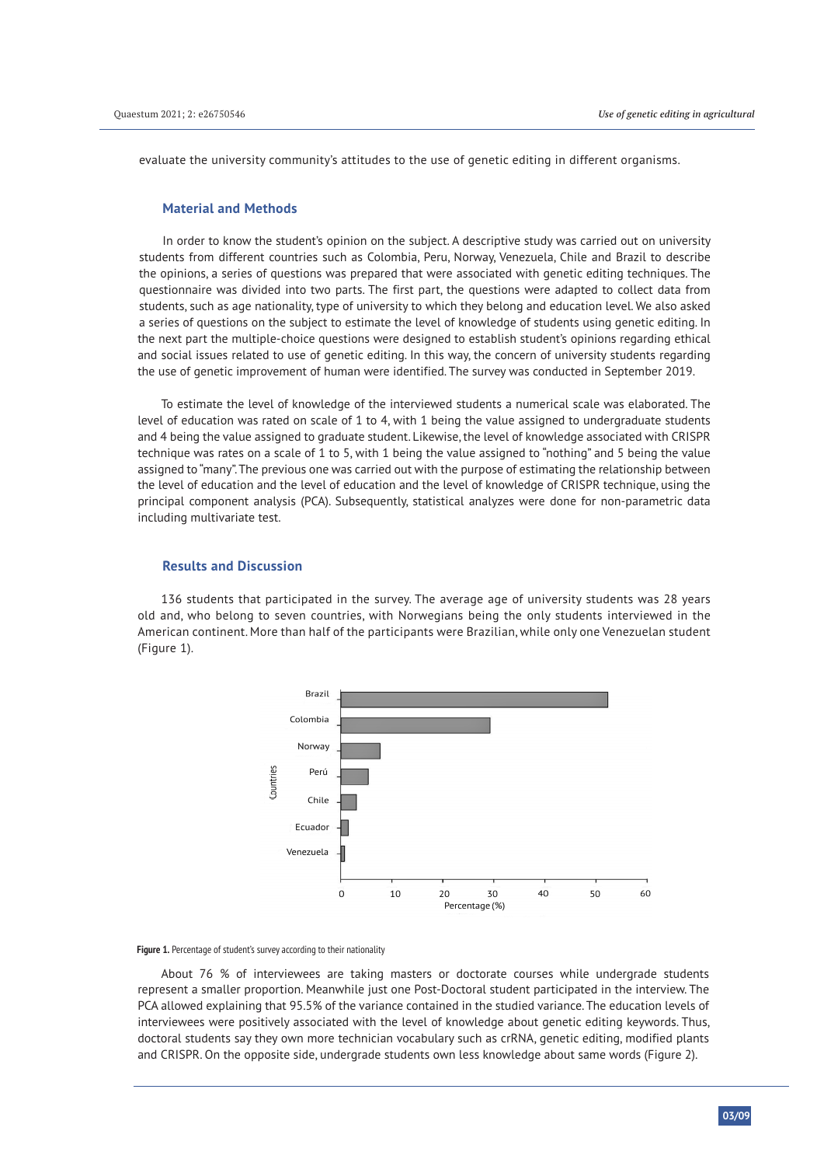evaluate the university community's attitudes to the use of genetic editing in different organisms.

### **Material and Methods**

In order to know the student's opinion on the subject. A descriptive study was carried out on university students from different countries such as Colombia, Peru, Norway, Venezuela, Chile and Brazil to describe the opinions, a series of questions was prepared that were associated with genetic editing techniques. The questionnaire was divided into two parts. The first part, the questions were adapted to collect data from students, such as age nationality, type of university to which they belong and education level. We also asked a series of questions on the subject to estimate the level of knowledge of students using genetic editing. In the next part the multiple-choice questions were designed to establish student's opinions regarding ethical and social issues related to use of genetic editing. In this way, the concern of university students regarding the use of genetic improvement of human were identified. The survey was conducted in September 2019.

To estimate the level of knowledge of the interviewed students a numerical scale was elaborated. The level of education was rated on scale of 1 to 4, with 1 being the value assigned to undergraduate students and 4 being the value assigned to graduate student. Likewise, the level of knowledge associated with CRISPR technique was rates on a scale of 1 to 5, with 1 being the value assigned to "nothing" and 5 being the value assigned to "many". The previous one was carried out with the purpose of estimating the relationship between the level of education and the level of education and the level of knowledge of CRISPR technique, using the principal component analysis (PCA). Subsequently, statistical analyzes were done for non-parametric data including multivariate test.

#### **Results and Discussion**

136 students that participated in the survey. The average age of university students was 28 years old and, who belong to seven countries, with Norwegians being the only students interviewed in the American continent. More than half of the participants were Brazilian, while only one Venezuelan student (Figure 1).



**Figure 1.** Percentage of student's survey according to their nationality

About 76 % of interviewees are taking masters or doctorate courses while undergrade students represent a smaller proportion. Meanwhile just one Post-Doctoral student participated in the interview. The PCA allowed explaining that 95.5% of the variance contained in the studied variance. The education levels of interviewees were positively associated with the level of knowledge about genetic editing keywords. Thus, doctoral students say they own more technician vocabulary such as crRNA, genetic editing, modified plants and CRISPR. On the opposite side, undergrade students own less knowledge about same words (Figure 2).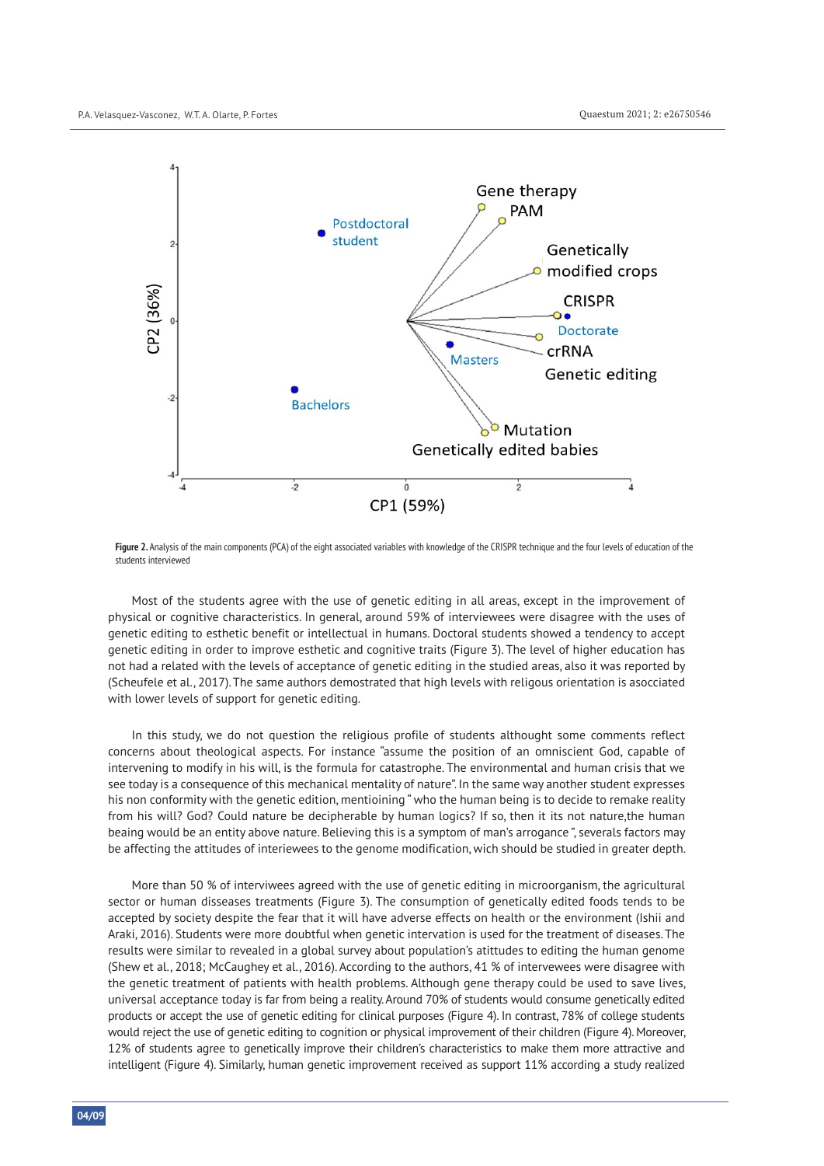

Figure 2. Analysis of the main components (PCA) of the eight associated variables with knowledge of the CRISPR technique and the four levels of education of the students interviewed

Most of the students agree with the use of genetic editing in all areas, except in the improvement of physical or cognitive characteristics. In general, around 59% of interviewees were disagree with the uses of genetic editing to esthetic benefit or intellectual in humans. Doctoral students showed a tendency to accept genetic editing in order to improve esthetic and cognitive traits (Figure 3). The level of higher education has not had a related with the levels of acceptance of genetic editing in the studied areas, also it was reported by (Scheufele et al., 2017). The same authors demostrated that high levels with religous orientation is asocciated with lower levels of support for genetic editing.

In this study, we do not question the religious profile of students althought some comments reflect concerns about theological aspects. For instance "assume the position of an omniscient God, capable of intervening to modify in his will, is the formula for catastrophe. The environmental and human crisis that we see today is a consequence of this mechanical mentality of nature". In the same way another student expresses his non conformity with the genetic edition, mentioining " who the human being is to decide to remake reality from his will? God? Could nature be decipherable by human logics? If so, then it its not nature,the human beaing would be an entity above nature. Believing this is a symptom of man's arrogance ", severals factors may be affecting the attitudes of interiewees to the genome modification, wich should be studied in greater depth.

More than 50 % of interviwees agreed with the use of genetic editing in microorganism, the agricultural sector or human disseases treatments (Figure 3). The consumption of genetically edited foods tends to be accepted by society despite the fear that it will have adverse effects on health or the environment (Ishii and Araki, 2016). Students were more doubtful when genetic intervation is used for the treatment of diseases. The results were similar to revealed in a global survey about population's atittudes to editing the human genome (Shew et al., 2018; McCaughey et al., 2016). According to the authors, 41 % of intervewees were disagree with the genetic treatment of patients with health problems. Although gene therapy could be used to save lives, universal acceptance today is far from being a reality. Around 70% of students would consume genetically edited products or accept the use of genetic editing for clinical purposes (Figure 4). In contrast, 78% of college students would reject the use of genetic editing to cognition or physical improvement of their children (Figure 4). Moreover, 12% of students agree to genetically improve their children's characteristics to make them more attractive and intelligent (Figure 4). Similarly, human genetic improvement received as support 11% according a study realized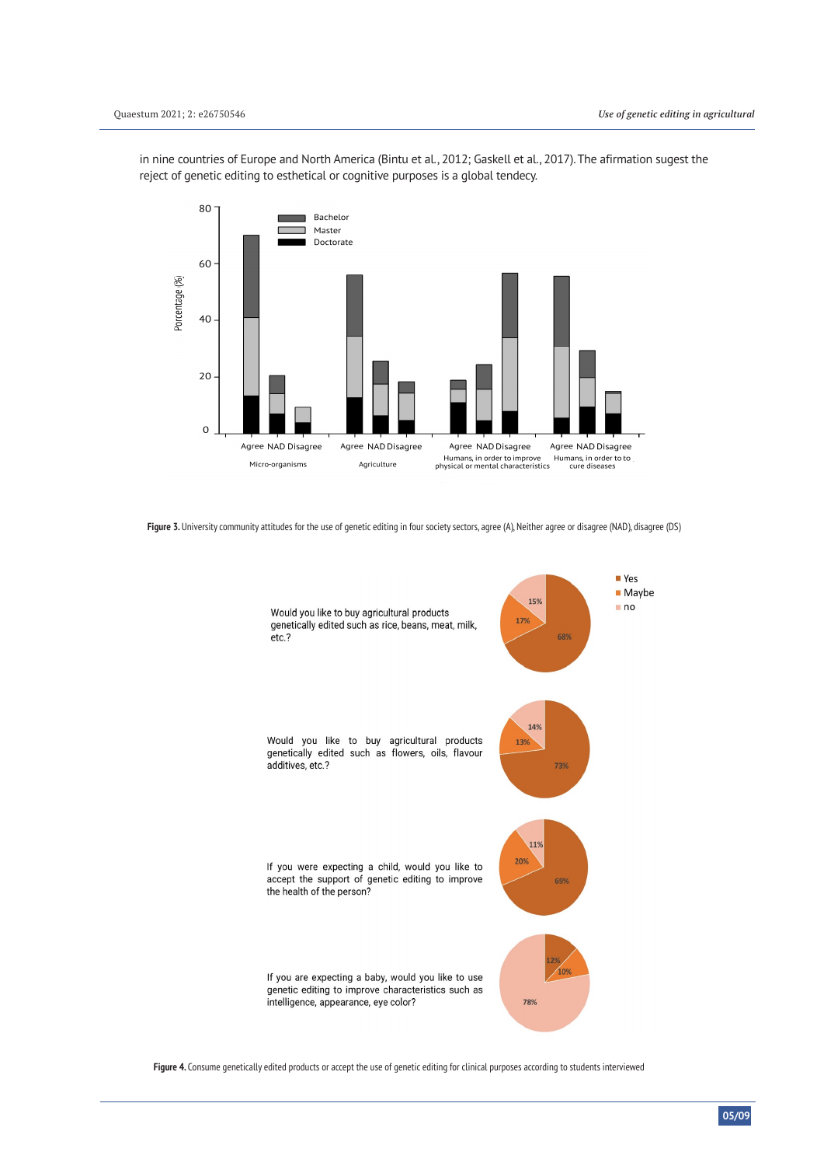in nine countries of Europe and North America (Bintu et al., 2012; Gaskell et al., 2017). The afirmation sugest the reject of genetic editing to esthetical or cognitive purposes is a global tendecy.



Figure 3. University community attitudes for the use of genetic editing in four society sectors, agree (A), Neither agree or disagree (NAD), disagree (DS)



**Figure 4.** Consume genetically edited products or accept the use of genetic editing for clinical purposes according to students interviewed

**05/09**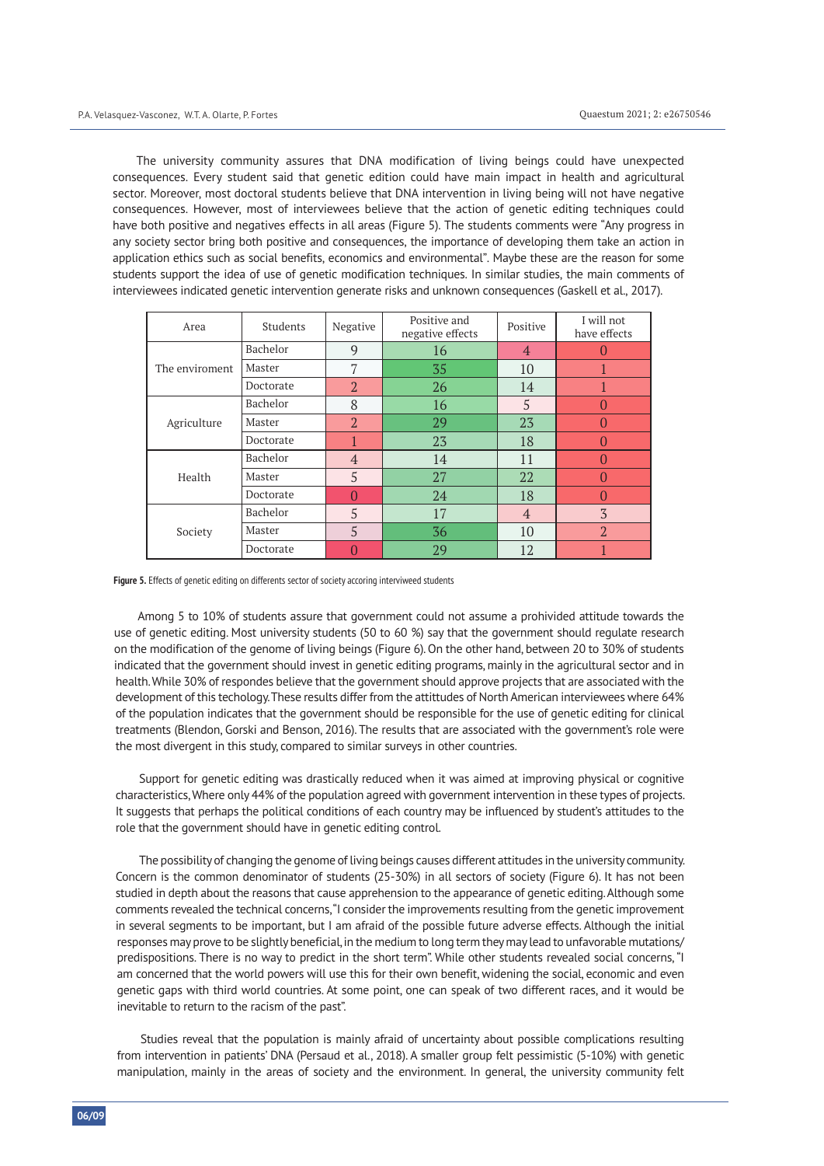The university community assures that DNA modification of living beings could have unexpected consequences. Every student said that genetic edition could have main impact in health and agricultural sector. Moreover, most doctoral students believe that DNA intervention in living being will not have negative consequences. However, most of interviewees believe that the action of genetic editing techniques could have both positive and negatives effects in all areas (Figure 5). The students comments were "Any progress in any society sector bring both positive and consequences, the importance of developing them take an action in application ethics such as social benefits, economics and environmental". Maybe these are the reason for some students support the idea of use of genetic modification techniques. In similar studies, the main comments of interviewees indicated genetic intervention generate risks and unknown consequences (Gaskell et al., 2017).

| Area           | Students  | Negative       | Positive and<br>negative effects | Positive       | I will not<br>have effects |
|----------------|-----------|----------------|----------------------------------|----------------|----------------------------|
| The enviroment | Bachelor  | 9              | 16                               | $\overline{4}$ |                            |
|                | Master    | 7              | 35                               | 10             |                            |
|                | Doctorate | $\overline{2}$ | 26                               | 14             |                            |
| Agriculture    | Bachelor  | 8              | 16                               | 5              |                            |
|                | Master    | $\overline{2}$ | 29                               | 23             |                            |
|                | Doctorate |                | 23                               | 18             |                            |
| Health         | Bachelor  | $\overline{4}$ | 14                               | 11             |                            |
|                | Master    | 5              | 27                               | 22             |                            |
|                | Doctorate |                | 24                               | 18             |                            |
| Society        | Bachelor  | 5              | 17                               | $\overline{4}$ | 3                          |
|                | Master    | 5              | 36                               | 10             | $\overline{2}$             |
|                | Doctorate |                | 29                               | 12             |                            |

**Figure 5.** Effects of genetic editing on differents sector of society accoring interviweed students

Among 5 to 10% of students assure that government could not assume a prohivided attitude towards the use of genetic editing. Most university students (50 to 60 %) say that the government should regulate research on the modification of the genome of living beings (Figure 6). On the other hand, between 20 to 30% of students indicated that the government should invest in genetic editing programs, mainly in the agricultural sector and in health. While 30% of respondes believe that the government should approve projects that are associated with the development of this techology. These results differ from the attittudes of North American interviewees where 64% of the population indicates that the government should be responsible for the use of genetic editing for clinical treatments (Blendon, Gorski and Benson, 2016). The results that are associated with the government's role were the most divergent in this study, compared to similar surveys in other countries.

Support for genetic editing was drastically reduced when it was aimed at improving physical or cognitive characteristics, Where only 44% of the population agreed with government intervention in these types of projects. It suggests that perhaps the political conditions of each country may be influenced by student's attitudes to the role that the government should have in genetic editing control.

The possibility of changing the genome of living beings causes different attitudes in the university community. Concern is the common denominator of students (25-30%) in all sectors of society (Figure 6). It has not been studied in depth about the reasons that cause apprehension to the appearance of genetic editing. Although some comments revealed the technical concerns, "I consider the improvements resulting from the genetic improvement in several segments to be important, but I am afraid of the possible future adverse effects. Although the initial responses may prove to be slightly beneficial, in the medium to long term they may lead to unfavorable mutations/ predispositions. There is no way to predict in the short term". While other students revealed social concerns, "I am concerned that the world powers will use this for their own benefit, widening the social, economic and even genetic gaps with third world countries. At some point, one can speak of two different races, and it would be inevitable to return to the racism of the past".

Studies reveal that the population is mainly afraid of uncertainty about possible complications resulting from intervention in patients' DNA (Persaud et al., 2018). A smaller group felt pessimistic (5-10%) with genetic manipulation, mainly in the areas of society and the environment. In general, the university community felt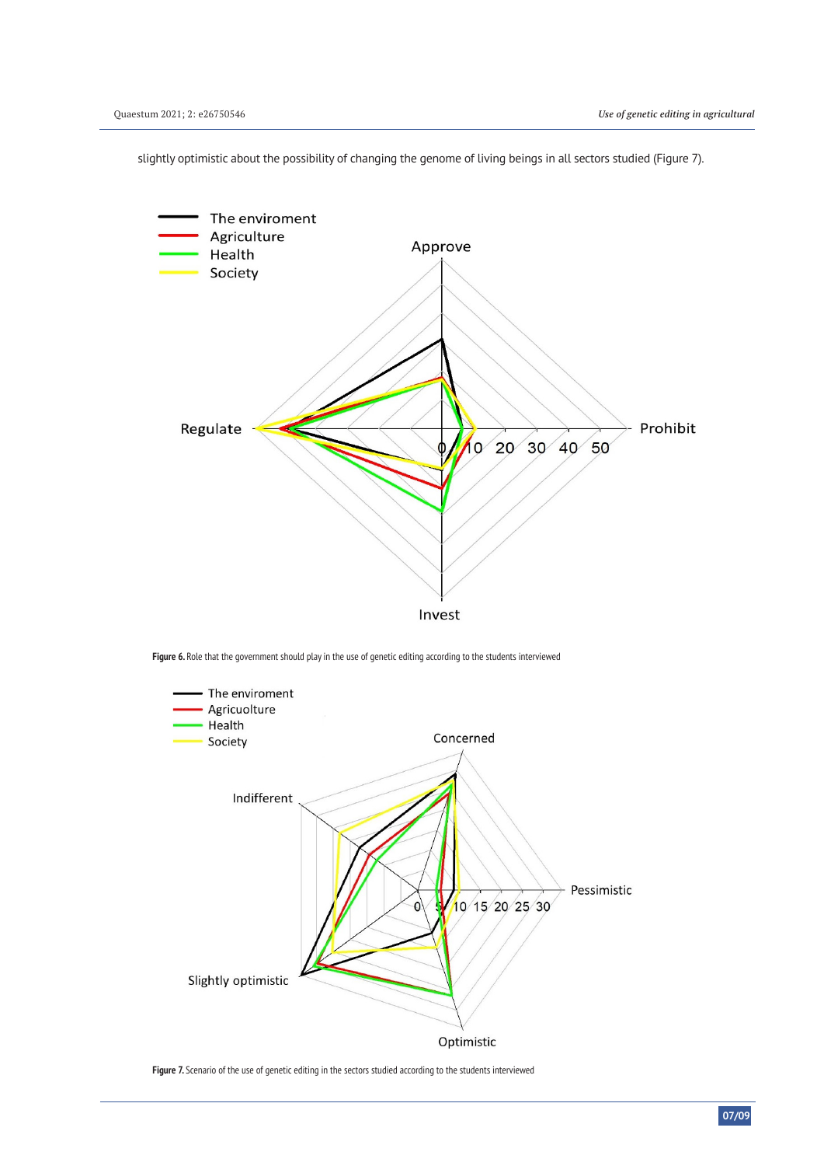

slightly optimistic about the possibility of changing the genome of living beings in all sectors studied (Figure 7).

**Figure 6.** Role that the government should play in the use of genetic editing according to the students interviewed



**Figure 7.** Scenario of the use of genetic editing in the sectors studied according to the students interviewed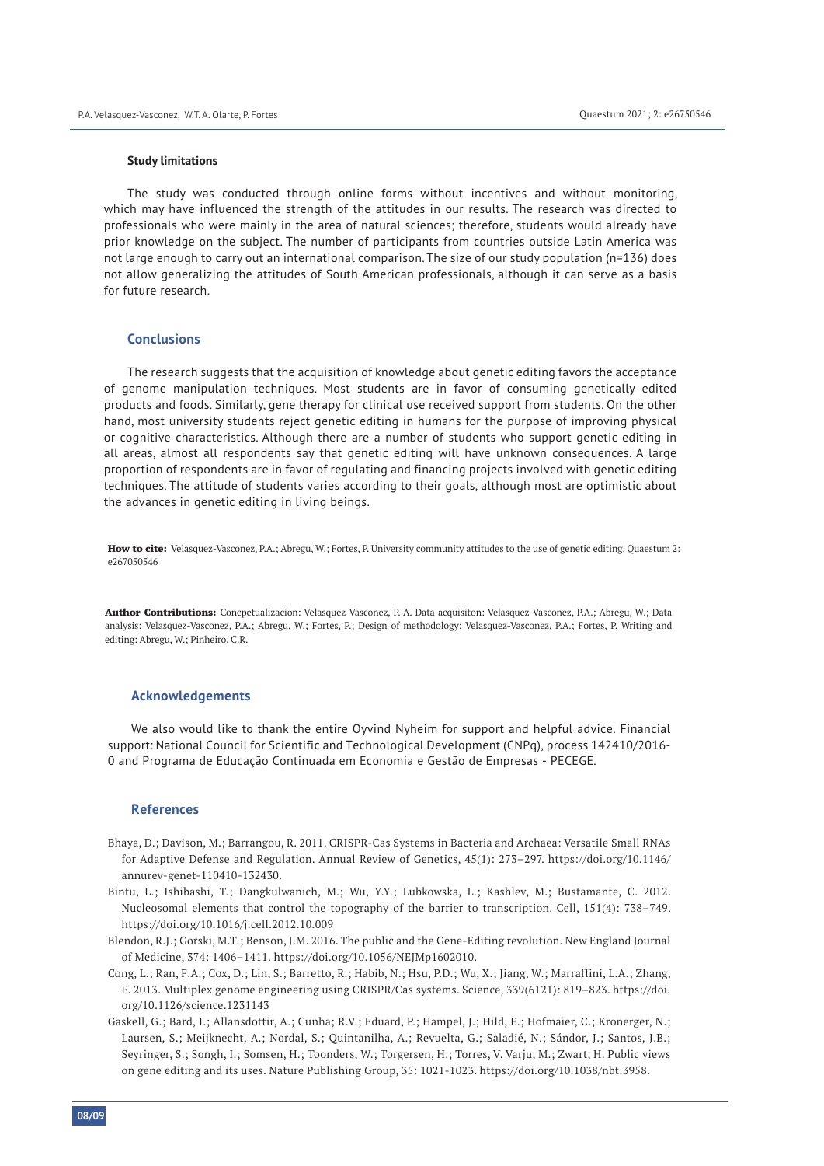#### **Study limitations**

The study was conducted through online forms without incentives and without monitoring, which may have influenced the strength of the attitudes in our results. The research was directed to professionals who were mainly in the area of natural sciences; therefore, students would already have prior knowledge on the subject. The number of participants from countries outside Latin America was not large enough to carry out an international comparison. The size of our study population (n=136) does not allow generalizing the attitudes of South American professionals, although it can serve as a basis for future research.

#### **Conclusions**

The research suggests that the acquisition of knowledge about genetic editing favors the acceptance of genome manipulation techniques. Most students are in favor of consuming genetically edited products and foods. Similarly, gene therapy for clinical use received support from students. On the other hand, most university students reject genetic editing in humans for the purpose of improving physical or cognitive characteristics. Although there are a number of students who support genetic editing in all areas, almost all respondents say that genetic editing will have unknown consequences. A large proportion of respondents are in favor of regulating and financing projects involved with genetic editing techniques. The attitude of students varies according to their goals, although most are optimistic about the advances in genetic editing in living beings.

How to cite: Velasquez-Vasconez, P.A.; Abregu, W.; Fortes, P. University community attitudes to the use of genetic editing. Quaestum 2: e267050546

Author Contributions: Concpetualizacion: Velasquez-Vasconez, P. A. Data acquisiton: Velasquez-Vasconez, P.A.; Abregu, W.; Data analysis: Velasquez-Vasconez, P.A.; Abregu, W.; Fortes, P.; Design of methodology: Velasquez-Vasconez, P.A.; Fortes, P. Writing and editing: Abregu, W.; Pinheiro, C.R.

#### **Acknowledgements**

We also would like to thank the entire Oyvind Nyheim for support and helpful advice. Financial support: National Council for Scientific and Technological Development (CNPq), process 142410/2016- 0 and Programa de Educação Continuada em Economia e Gestão de Empresas - PECEGE.

#### **References**

- Bhaya, D.; Davison, M.; Barrangou, R. 2011. CRISPR-Cas Systems in Bacteria and Archaea: Versatile Small RNAs for Adaptive Defense and Regulation. Annual Review of Genetics, 45(1): 273–297. https://doi.org/10.1146/ annurev-genet-110410-132430.
- Bintu, L.; Ishibashi, T.; Dangkulwanich, M.; Wu, Y.Y.; Lubkowska, L.; Kashlev, M.; Bustamante, C. 2012. Nucleosomal elements that control the topography of the barrier to transcription. Cell, 151(4): 738–749. https://doi.org/10.1016/j.cell.2012.10.009
- Blendon, R.J.; Gorski, M.T.; Benson, J.M. 2016. The public and the Gene-Editing revolution. New England Journal of Medicine, 374: 1406–1411. https://doi.org/10.1056/NEJMp1602010.
- Cong, L.; Ran, F.A.; Cox, D.; Lin, S.; Barretto, R.; Habib, N.; Hsu, P.D.; Wu, X.; Jiang, W.; Marraffini, L.A.; Zhang, F. 2013. Multiplex genome engineering using CRISPR/Cas systems. Science, 339(6121): 819–823. https://doi. org/10.1126/science.1231143
- Gaskell, G.; Bard, I.; Allansdottir, A.; Cunha; R.V.; Eduard, P.; Hampel, J.; Hild, E.; Hofmaier, C.; Kronerger, N.; Laursen, S.; Meijknecht, A.; Nordal, S.; Quintanilha, A.; Revuelta, G.; Saladié, N.; Sándor, J.; Santos, J.B.; Seyringer, S.; Songh, I.; Somsen, H.; Toonders, W.; Torgersen, H.; Torres, V. Varju, M.; Zwart, H. Public views on gene editing and its uses. Nature Publishing Group, 35: 1021-1023. https://doi.org/10.1038/nbt.3958.